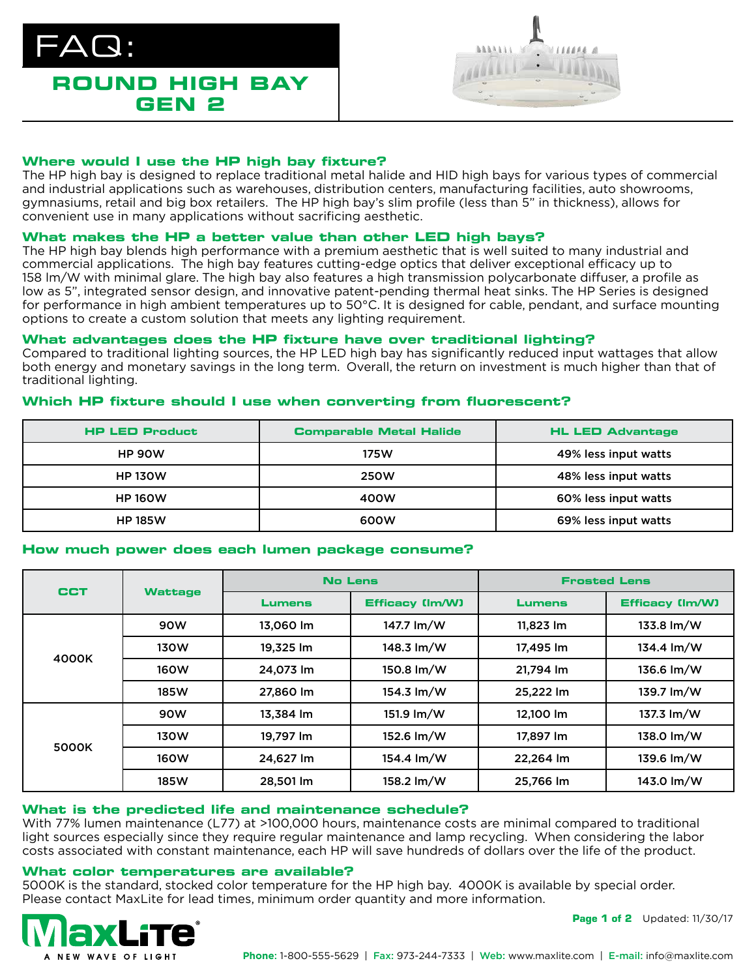



# **Where would I use the HP high bay fixture?**

The HP high bay is designed to replace traditional metal halide and HID high bays for various types of commercial and industrial applications such as warehouses, distribution centers, manufacturing facilities, auto showrooms, gymnasiums, retail and big box retailers. The HP high bay's slim profile (less than 5" in thickness), allows for convenient use in many applications without sacrificing aesthetic.

# **What makes the HP a better value than other LED high bays?**

The HP high bay blends high performance with a premium aesthetic that is well suited to many industrial and commercial applications. The high bay features cutting-edge optics that deliver exceptional efficacy up to 158 lm/W with minimal glare. The high bay also features a high transmission polycarbonate diffuser, a profile as low as 5", integrated sensor design, and innovative patent-pending thermal heat sinks. The HP Series is designed for performance in high ambient temperatures up to 50°C. It is designed for cable, pendant, and surface mounting options to create a custom solution that meets any lighting requirement.

# **What advantages does the HP fixture have over traditional lighting?**

Compared to traditional lighting sources, the HP LED high bay has significantly reduced input wattages that allow both energy and monetary savings in the long term. Overall, the return on investment is much higher than that of traditional lighting.

# **Which HP fixture should I use when converting from fluorescent?**

| <b>HP LED Product</b> | <b>Comparable Metal Halide</b> | <b>HL LED Advantage</b> |  |
|-----------------------|--------------------------------|-------------------------|--|
| <b>HP 90W</b>         | 175W                           | 49% less input watts    |  |
| <b>HP 130W</b>        | <b>250W</b>                    | 48% less input watts    |  |
| <b>HP 160W</b>        | 400W                           | 60% less input watts    |  |
| <b>HP 185W</b>        | 600W                           | 69% less input watts    |  |

# **How much power does each lumen package consume?**

| <b>CCT</b> | <b>Wattage</b> | <b>No Lens</b> |                        | <b>Frosted Lens</b> |                        |
|------------|----------------|----------------|------------------------|---------------------|------------------------|
|            |                | <b>Lumens</b>  | <b>Efficacy (Im/W)</b> | <b>Lumens</b>       | <b>Efficacy (Im/W)</b> |
| 4000K      | 90W            | 13.060 lm      | 147.7 lm/W             | 11.823 lm           | 133.8 lm/W             |
|            | 130W           | 19,325 lm      | 148.3 lm/W             | 17,495 lm           | 134.4 lm/W             |
|            | <b>160W</b>    | 24,073 lm      | 150.8 lm/W             | 21,794 lm           | 136.6 lm/W             |
|            | 185W           | 27,860 lm      | $154.3 \text{ Im}/W$   | 25,222 lm           | 139.7 lm/W             |
| 5000K      | 90W            | 13.384 lm      | 151.9 lm/W             | 12,100 lm           | 137.3 lm/W             |
|            | 130W           | 19.797 lm      | 152.6 lm/W             | 17.897 lm           | 138.0 lm/W             |
|            | <b>160W</b>    | 24,627 lm      | 154.4 lm/W             | 22,264 lm           | 139.6 lm/W             |
|            | 185W           | 28,501 lm      | 158.2 lm/W             | 25,766 lm           | 143.0 lm/W             |

# **What is the predicted life and maintenance schedule?**

With 77% lumen maintenance (L77) at >100,000 hours, maintenance costs are minimal compared to traditional light sources especially since they require regular maintenance and lamp recycling. When considering the labor costs associated with constant maintenance, each HP will save hundreds of dollars over the life of the product.

# **What color temperatures are available?**

5000K is the standard, stocked color temperature for the HP high bay. 4000K is available by special order. Please contact MaxLite for lead times, minimum order quantity and more information.



**Page 1 of 2** Updated: 11/30/17